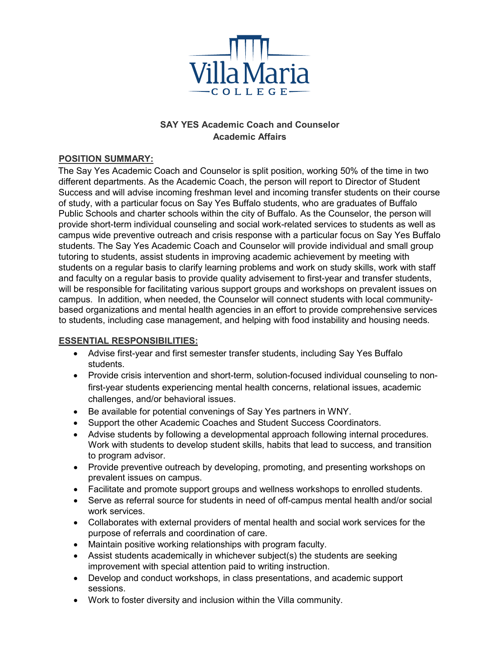

# **SAY YES Academic Coach and Counselor Academic Affairs**

## **POSITION SUMMARY:**

The Say Yes Academic Coach and Counselor is split position, working 50% of the time in two different departments. As the Academic Coach, the person will report to Director of Student Success and will advise incoming freshman level and incoming transfer students on their course of study, with a particular focus on Say Yes Buffalo students, who are graduates of Buffalo Public Schools and charter schools within the city of Buffalo. As the Counselor, the person will provide short-term individual counseling and social work-related services to students as well as campus wide preventive outreach and crisis response with a particular focus on Say Yes Buffalo students. The Say Yes Academic Coach and Counselor will provide individual and small group tutoring to students, assist students in improving academic achievement by meeting with students on a regular basis to clarify learning problems and work on study skills, work with staff and faculty on a regular basis to provide quality advisement to first-year and transfer students, will be responsible for facilitating various support groups and workshops on prevalent issues on campus. In addition, when needed, the Counselor will connect students with local communitybased organizations and mental health agencies in an effort to provide comprehensive services to students, including case management, and helping with food instability and housing needs.

### **ESSENTIAL RESPONSIBILITIES:**

- Advise first-year and first semester transfer students, including Say Yes Buffalo students.
- Provide crisis intervention and short-term, solution-focused individual counseling to nonfirst-year students experiencing mental health concerns, relational issues, academic challenges, and/or behavioral issues.
- Be available for potential convenings of Say Yes partners in WNY.
- Support the other Academic Coaches and Student Success Coordinators.
- Advise students by following a developmental approach following internal procedures. Work with students to develop student skills, habits that lead to success, and transition to program advisor.
- Provide preventive outreach by developing, promoting, and presenting workshops on prevalent issues on campus.
- Facilitate and promote support groups and wellness workshops to enrolled students.
- Serve as referral source for students in need of off-campus mental health and/or social work services.
- Collaborates with external providers of mental health and social work services for the purpose of referrals and coordination of care.
- Maintain positive working relationships with program faculty.
- Assist students academically in whichever subject(s) the students are seeking improvement with special attention paid to writing instruction.
- Develop and conduct workshops, in class presentations, and academic support sessions.
- Work to foster diversity and inclusion within the Villa community.